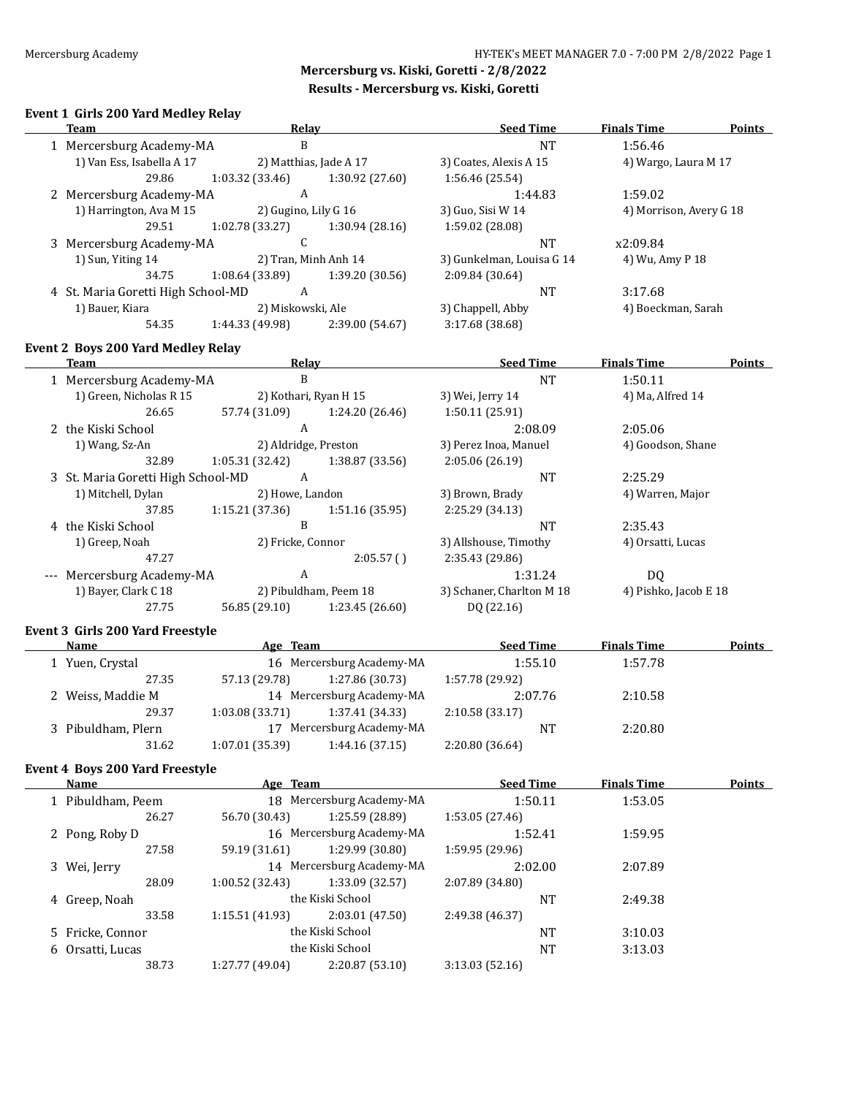# **Event 1 Girls 200 Yard Medley Relay**

| <b>Team</b>                            | <b>Relay</b>                      |                           | <b>Seed Time</b>          | <b>Finals Time</b>      | <b>Points</b> |
|----------------------------------------|-----------------------------------|---------------------------|---------------------------|-------------------------|---------------|
| 1 Mercersburg Academy-MA               | $\, {\bf B}$                      |                           | <b>NT</b>                 | 1:56.46                 |               |
| 1) Van Ess, Isabella A 17              | 2) Matthias, Jade A 17            |                           | 3) Coates, Alexis A 15    | 4) Wargo, Laura M 17    |               |
| 29.86                                  | 1:03.32 (33.46)                   | 1:30.92 (27.60)           | 1:56.46 (25.54)           |                         |               |
| 2 Mercersburg Academy-MA               | $\mathbf{A}$                      |                           | 1:44.83                   | 1:59.02                 |               |
| 1) Harrington, Ava M 15                | 2) Gugino, Lily G 16              |                           | 3) Guo, Sisi W 14         | 4) Morrison, Avery G 18 |               |
| 29.51                                  | 1:02.78 (33.27)                   | 1:30.94 (28.16)           | 1:59.02 (28.08)           |                         |               |
| 3 Mercersburg Academy-MA               | $\mathsf{C}$                      |                           | <b>NT</b>                 | x2:09.84                |               |
| 1) Sun, Yiting 14                      | 2) Tran, Minh Anh 14              |                           | 3) Gunkelman, Louisa G 14 | 4) Wu, Amy P 18         |               |
| 34.75                                  | 1:08.64 (33.89)                   | 1:39.20 (30.56)           | 2:09.84 (30.64)           |                         |               |
| 4 St. Maria Goretti High School-MD     | A                                 |                           | $\rm{NT}$                 | 3:17.68                 |               |
| 1) Bauer, Kiara                        | 2) Miskowski, Ale                 |                           | 3) Chappell, Abby         | 4) Boeckman, Sarah      |               |
| 54.35                                  | 1:44.33 (49.98)                   | 2:39.00 (54.67)           | 3:17.68 (38.68)           |                         |               |
|                                        |                                   |                           |                           |                         |               |
| Event 2 Boys 200 Yard Medley Relay     |                                   |                           |                           |                         |               |
| <b>Team</b>                            | Relay                             |                           | <b>Seed Time</b>          | <b>Finals Time</b>      | <b>Points</b> |
| 1 Mercersburg Academy-MA               | $\, {\bf B}$                      |                           | <b>NT</b>                 | 1:50.11                 |               |
| 1) Green, Nicholas R 15                | 2) Kothari, Ryan H 15             |                           | 3) Wei, Jerry 14          | 4) Ma, Alfred 14        |               |
| 26.65                                  | 57.74 (31.09)                     | 1:24.20 (26.46)           | 1:50.11 (25.91)           |                         |               |
| 2 the Kiski School                     | $\mathbf{A}$                      |                           | 2:08.09                   | 2:05.06                 |               |
| 1) Wang, Sz-An                         | 2) Aldridge, Preston              |                           | 3) Perez Inoa, Manuel     | 4) Goodson, Shane       |               |
| 32.89                                  | 1:05.31 (32.42)                   | 1:38.87 (33.56)           | 2:05.06 (26.19)           |                         |               |
| 3 St. Maria Goretti High School-MD     | $\mathbf{A}$                      |                           | <b>NT</b>                 | 2:25.29                 |               |
| 1) Mitchell, Dylan                     | 2) Howe, Landon                   |                           | 3) Brown, Brady           | 4) Warren, Major        |               |
| 37.85                                  | 1:15.21 (37.36)                   | 1:51.16 (35.95)           | 2:25.29 (34.13)           |                         |               |
| 4 the Kiski School                     | $\mathbf{B}$                      |                           | <b>NT</b>                 | 2:35.43                 |               |
| 1) Greep, Noah                         | 2) Fricke, Connor                 |                           | 3) Allshouse, Timothy     | 4) Orsatti, Lucas       |               |
| 47.27                                  |                                   | 2:05.57()                 | 2:35.43 (29.86)           |                         |               |
| --- Mercersburg Academy-MA             | $\boldsymbol{A}$                  |                           | 1:31.24                   | DQ                      |               |
| 1) Bayer, Clark C 18                   | 2) Pibuldham, Peem 18             |                           | 3) Schaner, Charlton M 18 | 4) Pishko, Jacob E 18   |               |
| 27.75                                  | 56.85 (29.10)                     | 1:23.45 (26.60)           | DQ (22.16)                |                         |               |
| Event 3 Girls 200 Yard Freestyle       |                                   |                           |                           |                         |               |
| Name                                   | Age Team                          |                           | <b>Seed Time</b>          | <b>Finals Time</b>      | Points        |
| 1 Yuen, Crystal                        |                                   | 16 Mercersburg Academy-MA | 1:55.10                   | 1:57.78                 |               |
| 27.35                                  | 57.13 (29.78)                     | 1:27.86 (30.73)           | 1:57.78 (29.92)           |                         |               |
| 2 Weiss, Maddie M                      |                                   | 14 Mercersburg Academy-MA | 2:07.76                   | 2:10.58                 |               |
| 29.37                                  | 1:03.08(33.71)                    | 1:37.41 (34.33)           | 2:10.58(33.17)            |                         |               |
| 3 Pibuldham, Plern                     |                                   | 17 Mercersburg Academy-MA | NT                        | 2:20.80                 |               |
| 31.62                                  | $1:07.01(35.39)$ $1:44.16(37.15)$ |                           | 2:20.80 (36.64)           |                         |               |
|                                        |                                   |                           |                           |                         |               |
| <b>Event 4 Boys 200 Yard Freestyle</b> |                                   |                           |                           |                         |               |
| <b>Name</b>                            | Age Team                          |                           | <b>Seed Time</b>          | <b>Finals Time</b>      | Points        |
| 1 Pibuldham, Peem                      |                                   | 18 Mercersburg Academy-MA | 1:50.11                   | 1:53.05                 |               |
| 26.27                                  | 56.70 (30.43)                     | 1:25.59 (28.89)           | 1:53.05 (27.46)           |                         |               |
| 2 Pong, Roby D                         |                                   | 16 Mercersburg Academy-MA | 1:52.41                   | 1:59.95                 |               |
| 27.58                                  | 59.19 (31.61)                     | 1:29.99 (30.80)           | 1:59.95 (29.96)           |                         |               |
| 3 Wei, Jerry                           |                                   | 14 Mercersburg Academy-MA | 2:02.00                   | 2:07.89                 |               |
| 28.09                                  | 1:00.52 (32.43)                   | 1:33.09 (32.57)           | 2:07.89 (34.80)           |                         |               |
| 4 Greep, Noah                          |                                   | the Kiski School          | <b>NT</b>                 | 2:49.38                 |               |
| 33.58                                  | 1:15.51 (41.93)                   | 2:03.01 (47.50)           | 2:49.38 (46.37)           |                         |               |
| 5 Fricke, Connor                       |                                   | the Kiski School          | NT                        | 3:10.03                 |               |
| 6 Orsatti, Lucas                       |                                   | the Kiski School          | <b>NT</b>                 | 3:13.03                 |               |
| 38.73                                  | 1:27.77 (49.04)                   | 2:20.87 (53.10)           | 3:13.03 (52.16)           |                         |               |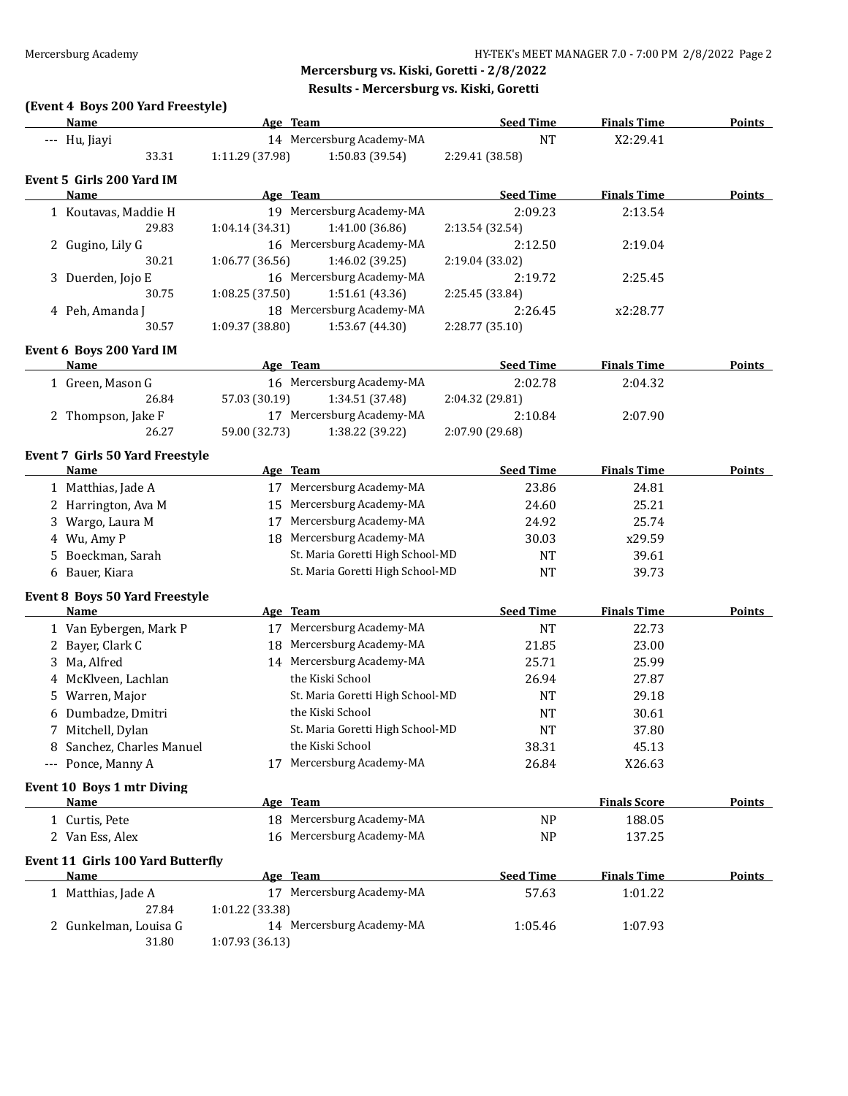# **(Event 4 Boys 200 Yard Freestyle)**

|   | Name                                             |                 | Age Team                         | <b>Seed Time</b> | <b>Finals Time</b>  | <b>Points</b> |
|---|--------------------------------------------------|-----------------|----------------------------------|------------------|---------------------|---------------|
|   | --- Hu, Jiayi                                    |                 | 14 Mercersburg Academy-MA        | <b>NT</b>        | X2:29.41            |               |
|   | 33.31                                            | 1:11.29 (37.98) | 1:50.83 (39.54)                  | 2:29.41 (38.58)  |                     |               |
|   | Event 5 Girls 200 Yard IM                        |                 |                                  |                  |                     |               |
|   | Name                                             |                 | Age Team                         | <b>Seed Time</b> | <b>Finals Time</b>  | <b>Points</b> |
|   | 1 Koutavas, Maddie H                             |                 | 19 Mercersburg Academy-MA        | 2:09.23          | 2:13.54             |               |
|   | 29.83                                            | 1:04.14 (34.31) | 1:41.00 (36.86)                  | 2:13.54 (32.54)  |                     |               |
|   | 2 Gugino, Lily G                                 |                 | 16 Mercersburg Academy-MA        | 2:12.50          | 2:19.04             |               |
|   | 30.21                                            | 1:06.77 (36.56) | 1:46.02 (39.25)                  | 2:19.04 (33.02)  |                     |               |
|   | 3 Duerden, Jojo E                                |                 | 16 Mercersburg Academy-MA        | 2:19.72          | 2:25.45             |               |
|   | 30.75                                            | 1:08.25 (37.50) | 1:51.61 (43.36)                  | 2:25.45 (33.84)  |                     |               |
|   | 4 Peh, Amanda J                                  |                 | 18 Mercersburg Academy-MA        | 2:26.45          | x2:28.77            |               |
|   | 30.57                                            | 1:09.37 (38.80) | 1:53.67 (44.30)                  | 2:28.77 (35.10)  |                     |               |
|   |                                                  |                 |                                  |                  |                     |               |
|   | Event 6 Boys 200 Yard IM                         |                 |                                  |                  |                     |               |
|   | <b>Name</b>                                      |                 | Age Team                         | <b>Seed Time</b> | <b>Finals Time</b>  | <b>Points</b> |
|   | 1 Green, Mason G                                 |                 | 16 Mercersburg Academy-MA        | 2:02.78          | 2:04.32             |               |
|   | 26.84                                            | 57.03 (30.19)   | 1:34.51 (37.48)                  | 2:04.32 (29.81)  |                     |               |
|   | 2 Thompson, Jake F                               |                 | 17 Mercersburg Academy-MA        | 2:10.84          | 2:07.90             |               |
|   | 26.27                                            | 59.00 (32.73)   | 1:38.22 (39.22)                  | 2:07.90 (29.68)  |                     |               |
|   | Event 7 Girls 50 Yard Freestyle                  |                 |                                  |                  |                     |               |
|   | Name                                             |                 | Age Team                         | <b>Seed Time</b> | <b>Finals Time</b>  | Points        |
|   | 1 Matthias, Jade A                               |                 | 17 Mercersburg Academy-MA        | 23.86            | 24.81               |               |
|   | 2 Harrington, Ava M                              |                 | 15 Mercersburg Academy-MA        | 24.60            | 25.21               |               |
|   | 3 Wargo, Laura M                                 | 17              | Mercersburg Academy-MA           | 24.92            | 25.74               |               |
|   | 4 Wu, Amy P                                      | 18              | Mercersburg Academy-MA           | 30.03            | x29.59              |               |
|   | 5 Boeckman, Sarah                                |                 | St. Maria Goretti High School-MD | <b>NT</b>        | 39.61               |               |
|   | 6 Bauer, Kiara                                   |                 | St. Maria Goretti High School-MD | <b>NT</b>        | 39.73               |               |
|   |                                                  |                 |                                  |                  |                     |               |
|   | Event 8 Boys 50 Yard Freestyle                   |                 |                                  |                  |                     |               |
|   | <b>Name</b>                                      |                 | Age Team                         | <b>Seed Time</b> | <b>Finals Time</b>  | <b>Points</b> |
|   | 1 Van Eybergen, Mark P                           |                 | 17 Mercersburg Academy-MA        | <b>NT</b>        | 22.73               |               |
|   | 2 Bayer, Clark C                                 |                 | 18 Mercersburg Academy-MA        | 21.85            | 23.00               |               |
|   | 3 Ma, Alfred                                     |                 | 14 Mercersburg Academy-MA        | 25.71            | 25.99               |               |
|   | 4 McKlveen, Lachlan                              |                 | the Kiski School                 | 26.94            | 27.87               |               |
|   | 5 Warren, Major                                  |                 | St. Maria Goretti High School-MD | <b>NT</b>        | 29.18               |               |
|   | 6 Dumbadze, Dmitri                               |                 | the Kiski School                 | <b>NT</b>        | 30.61               |               |
|   | 7 Mitchell, Dylan                                |                 | St. Maria Goretti High School-MD | <b>NT</b>        | 37.80               |               |
| 8 | Sanchez, Charles Manuel                          |                 | the Kiski School                 | 38.31            | 45.13               |               |
|   | --- Ponce, Manny A                               | 17              | Mercersburg Academy-MA           | 26.84            | X26.63              |               |
|   | Event 10 Boys 1 mtr Diving                       |                 |                                  |                  |                     |               |
|   | <b>Name</b>                                      |                 | Age Team                         |                  | <b>Finals Score</b> | <b>Points</b> |
|   | 1 Curtis, Pete                                   |                 | 18 Mercersburg Academy-MA        | <b>NP</b>        | 188.05              |               |
|   | 2 Van Ess, Alex                                  |                 | 16 Mercersburg Academy-MA        | <b>NP</b>        | 137.25              |               |
|   |                                                  |                 |                                  |                  |                     |               |
|   | <b>Event 11 Girls 100 Yard Butterfly</b><br>Name |                 | Age Team                         | <b>Seed Time</b> | <b>Finals Time</b>  | <b>Points</b> |
|   |                                                  |                 | 17 Mercersburg Academy-MA        |                  |                     |               |
|   | 1 Matthias, Jade A<br>27.84                      |                 |                                  | 57.63            | 1:01.22             |               |
|   | 2 Gunkelman, Louisa G                            | 1:01.22 (33.38) | 14 Mercersburg Academy-MA        | 1:05.46          | 1:07.93             |               |
|   | 31.80                                            | 1:07.93 (36.13) |                                  |                  |                     |               |
|   |                                                  |                 |                                  |                  |                     |               |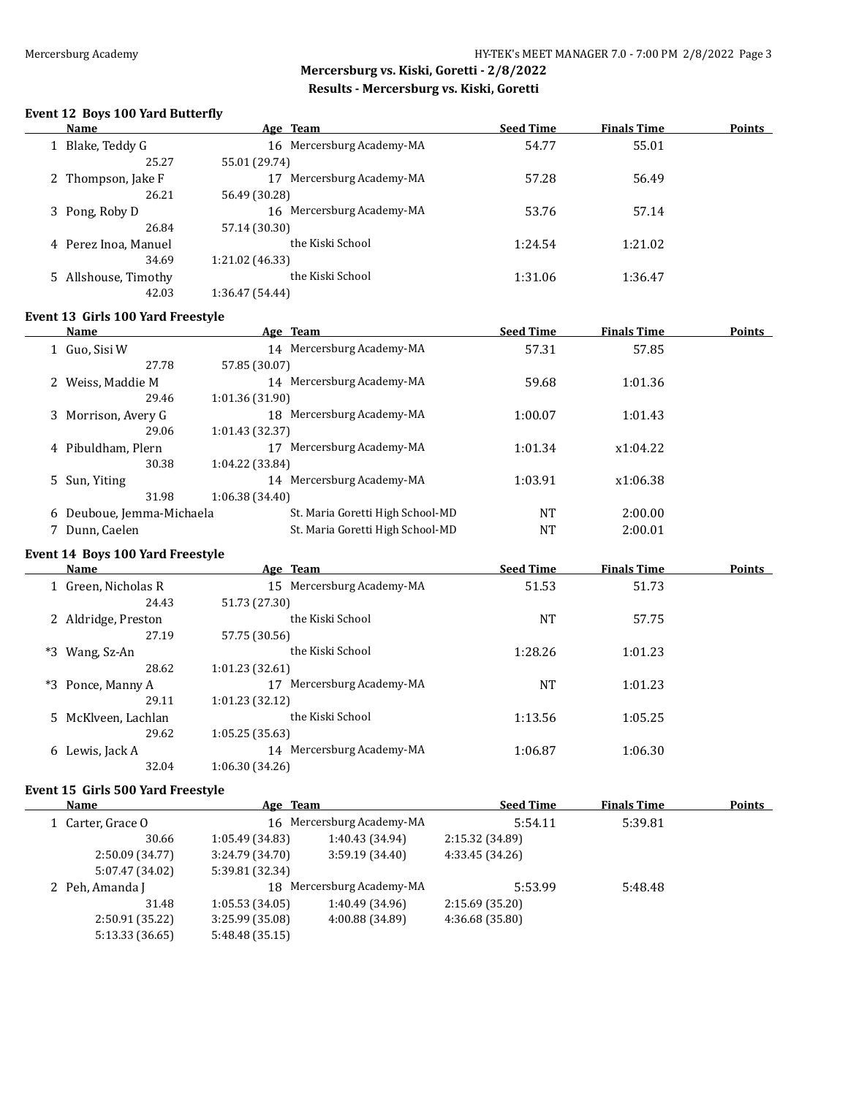$\overline{\phantom{a}}$ 

# **Mercersburg vs. Kiski, Goretti - 2/8/2022 Results - Mercersburg vs. Kiski, Goretti**

#### **Event 12 Boys 100 Yard Butterfly**

| Name                 | Age Team                     | <b>Seed Time</b> | <b>Finals Time</b> | <b>Points</b> |
|----------------------|------------------------------|------------------|--------------------|---------------|
| 1 Blake, Teddy G     | 16 Mercersburg Academy-MA    | 54.77            | 55.01              |               |
| 25.27                | 55.01 (29.74)                |                  |                    |               |
| 2 Thompson, Jake F   | Mercersburg Academy-MA<br>17 | 57.28            | 56.49              |               |
| 26.21                | 56.49 (30.28)                |                  |                    |               |
| 3 Pong, Roby D       | 16 Mercersburg Academy-MA    | 53.76            | 57.14              |               |
| 26.84                | 57.14 (30.30)                |                  |                    |               |
| 4 Perez Inoa, Manuel | the Kiski School             | 1:24.54          | 1:21.02            |               |
| 34.69                | 1:21.02 (46.33)              |                  |                    |               |
| 5 Allshouse, Timothy | the Kiski School             | 1:31.06          | 1:36.47            |               |
| 42.03                | 1:36.47 (54.44)              |                  |                    |               |

#### **Event 13 Girls 100 Yard Freestyle**

| Name                      | Age Team                         | <b>Seed Time</b> | <b>Finals Time</b> | <b>Points</b> |
|---------------------------|----------------------------------|------------------|--------------------|---------------|
| 1 Guo, Sisi W             | 14 Mercersburg Academy-MA        | 57.31            | 57.85              |               |
| 27.78                     | 57.85 (30.07)                    |                  |                    |               |
| 2 Weiss, Maddie M         | 14 Mercersburg Academy-MA        | 59.68            | 1:01.36            |               |
| 29.46                     | 1:01.36 (31.90)                  |                  |                    |               |
| 3 Morrison, Avery G       | 18 Mercersburg Academy-MA        | 1:00.07          | 1:01.43            |               |
| 29.06                     | 1:01.43 (32.37)                  |                  |                    |               |
| 4 Pibuldham, Plern        | Mercersburg Academy-MA           | 1:01.34          | x1:04.22           |               |
| 30.38                     | 1:04.22 (33.84)                  |                  |                    |               |
| 5 Sun, Yiting             | 14 Mercersburg Academy-MA        | 1:03.91          | x1:06.38           |               |
| 31.98                     | 1:06.38 (34.40)                  |                  |                    |               |
| 6 Deuboue, Jemma-Michaela | St. Maria Goretti High School-MD | NT               | 2:00.00            |               |
| Dunn, Caelen              | St. Maria Goretti High School-MD | NT               | 2:00.01            |               |
|                           |                                  |                  |                    |               |

#### **Event 14 Boys 100 Yard Freestyle**

|      | <b>Name</b>         | Age Team                     | <b>Seed Time</b> | <b>Finals Time</b> | <b>Points</b> |
|------|---------------------|------------------------------|------------------|--------------------|---------------|
|      | 1 Green, Nicholas R | 15 Mercersburg Academy-MA    | 51.53            | 51.73              |               |
|      | 24.43               | 51.73 (27.30)                |                  |                    |               |
|      | 2 Aldridge, Preston | the Kiski School             | <b>NT</b>        | 57.75              |               |
|      | 27.19               | 57.75 (30.56)                |                  |                    |               |
| $*3$ | Wang, Sz-An         | the Kiski School             | 1:28.26          | 1:01.23            |               |
|      | 28.62               | 1:01.23(32.61)               |                  |                    |               |
| $*3$ | Ponce, Manny A      | Mercersburg Academy-MA<br>17 | <b>NT</b>        | 1:01.23            |               |
|      | 29.11               | 1:01.23(32.12)               |                  |                    |               |
|      | 5 McKlveen, Lachlan | the Kiski School             | 1:13.56          | 1:05.25            |               |
|      | 29.62               | 1:05.25(35.63)               |                  |                    |               |
| 6.   | Lewis, Jack A       | 14 Mercersburg Academy-MA    | 1:06.87          | 1:06.30            |               |
|      | 32.04               | 1:06.30(34.26)               |                  |                    |               |
|      |                     |                              |                  |                    |               |

#### **Event 15 Girls 500 Yard Freestyle**

| Name              | Age Team        |                           | <b>Seed Time</b> | <b>Finals Time</b> | <b>Points</b> |
|-------------------|-----------------|---------------------------|------------------|--------------------|---------------|
| 1 Carter, Grace O |                 | 16 Mercersburg Academy-MA | 5:54.11          | 5:39.81            |               |
| 30.66             | 1:05.49 (34.83) | 1:40.43 (34.94)           | 2:15.32 (34.89)  |                    |               |
| 2:50.09 (34.77)   | 3:24.79 (34.70) | 3:59.19(34.40)            | 4:33.45 (34.26)  |                    |               |
| 5:07.47 (34.02)   | 5:39.81 (32.34) |                           |                  |                    |               |
| 2 Peh, Amanda J   |                 | 18 Mercersburg Academy-MA | 5:53.99          | 5:48.48            |               |
| 31.48             | 1:05.53(34.05)  | 1:40.49 (34.96)           | 2:15.69(35.20)   |                    |               |
| 2:50.91 (35.22)   | 3:25.99 (35.08) | 4:00.88 (34.89)           | 4:36.68 (35.80)  |                    |               |
| 5:13.33(36.65)    | 5:48.48 (35.15) |                           |                  |                    |               |
|                   |                 |                           |                  |                    |               |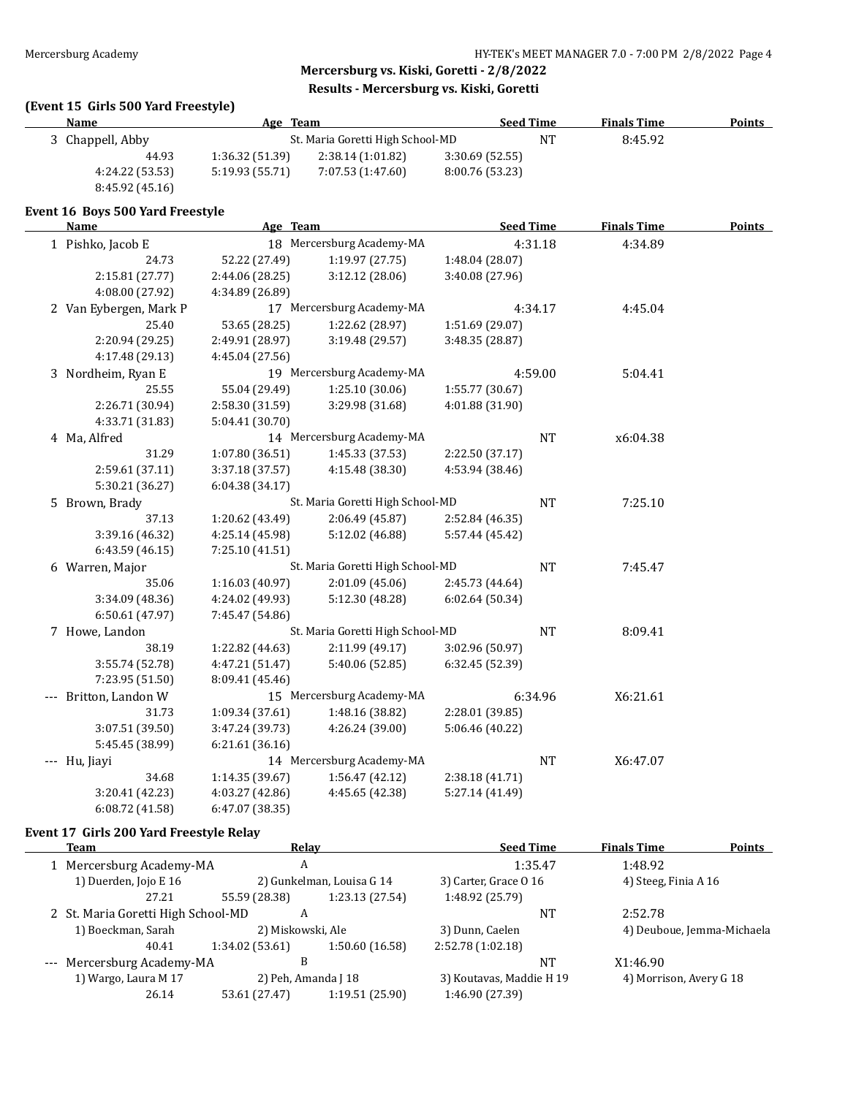# **(Event 15 Girls 500 Yard Freestyle)**

| <b>Name</b>                      | Age Team        |                                  |                 | <b>Seed Time</b> | <b>Finals Time</b> | <b>Points</b> |
|----------------------------------|-----------------|----------------------------------|-----------------|------------------|--------------------|---------------|
| 3 Chappell, Abby                 |                 | St. Maria Goretti High School-MD |                 | $\rm{NT}$        | 8:45.92            |               |
| 44.93                            | 1:36.32 (51.39) | 2:38.14 (1:01.82)                | 3:30.69(52.55)  |                  |                    |               |
| 4:24.22 (53.53)                  | 5:19.93 (55.71) | 7:07.53 (1:47.60)                | 8:00.76 (53.23) |                  |                    |               |
| 8:45.92 (45.16)                  |                 |                                  |                 |                  |                    |               |
| Event 16 Boys 500 Yard Freestyle |                 |                                  |                 |                  |                    |               |
| <b>Name</b>                      | Age Team        |                                  |                 | <b>Seed Time</b> | <b>Finals Time</b> | <b>Points</b> |
| 1 Pishko, Jacob E                |                 | 18 Mercersburg Academy-MA        |                 | 4:31.18          | 4:34.89            |               |
| 24.73                            | 52.22 (27.49)   | 1:19.97(27.75)                   | 1:48.04 (28.07) |                  |                    |               |
| 2:15.81 (27.77)                  | 2:44.06 (28.25) | 3:12.12 (28.06)                  | 3:40.08 (27.96) |                  |                    |               |
| 4:08.00 (27.92)                  | 4:34.89 (26.89) |                                  |                 |                  |                    |               |
| 2 Van Eybergen, Mark P           |                 | 17 Mercersburg Academy-MA        |                 | 4:34.17          | 4:45.04            |               |
| 25.40                            | 53.65 (28.25)   | 1:22.62 (28.97)                  | 1:51.69 (29.07) |                  |                    |               |
| 2:20.94 (29.25)                  | 2:49.91 (28.97) | 3:19.48 (29.57)                  | 3:48.35 (28.87) |                  |                    |               |
| 4:17.48 (29.13)                  | 4:45.04 (27.56) |                                  |                 |                  |                    |               |
| 3 Nordheim, Ryan E               |                 | 19 Mercersburg Academy-MA        |                 | 4:59.00          | 5:04.41            |               |
| 25.55                            | 55.04 (29.49)   | 1:25.10(30.06)                   | 1:55.77 (30.67) |                  |                    |               |
| 2:26.71 (30.94)                  | 2:58.30 (31.59) | 3:29.98 (31.68)                  | 4:01.88 (31.90) |                  |                    |               |
| 4:33.71 (31.83)                  | 5:04.41 (30.70) |                                  |                 |                  |                    |               |
| 4 Ma, Alfred                     |                 | 14 Mercersburg Academy-MA        |                 | <b>NT</b>        | x6:04.38           |               |
| 31.29                            | 1:07.80 (36.51) | 1:45.33 (37.53)                  | 2:22.50 (37.17) |                  |                    |               |
| 2:59.61 (37.11)                  | 3:37.18 (37.57) | 4:15.48 (38.30)                  | 4:53.94 (38.46) |                  |                    |               |
| 5:30.21 (36.27)                  | 6:04.38(34.17)  |                                  |                 |                  |                    |               |
| 5 Brown, Brady                   |                 | St. Maria Goretti High School-MD |                 | $\rm{NT}$        | 7:25.10            |               |
| 37.13                            | 1:20.62 (43.49) | 2:06.49 (45.87)                  | 2:52.84 (46.35) |                  |                    |               |
| 3:39.16 (46.32)                  | 4:25.14 (45.98) | 5:12.02 (46.88)                  | 5:57.44 (45.42) |                  |                    |               |
| 6:43.59(46.15)                   | 7:25.10 (41.51) |                                  |                 |                  |                    |               |
| 6 Warren, Major                  |                 | St. Maria Goretti High School-MD |                 | $\rm{NT}$        | 7:45.47            |               |
| 35.06                            | 1:16.03 (40.97) | 2:01.09(45.06)                   | 2:45.73 (44.64) |                  |                    |               |
| 3:34.09 (48.36)                  | 4:24.02 (49.93) | 5:12.30 (48.28)                  | 6:02.64 (50.34) |                  |                    |               |
| 6:50.61(47.97)                   | 7:45.47 (54.86) |                                  |                 |                  |                    |               |
| 7 Howe, Landon                   |                 | St. Maria Goretti High School-MD |                 | <b>NT</b>        | 8:09.41            |               |
| 38.19                            | 1:22.82 (44.63) | 2:11.99 (49.17)                  | 3:02.96 (50.97) |                  |                    |               |
| 3:55.74 (52.78)                  | 4:47.21 (51.47) | 5:40.06 (52.85)                  | 6:32.45 (52.39) |                  |                    |               |
| 7:23.95 (51.50)                  | 8:09.41 (45.46) |                                  |                 |                  |                    |               |
| --- Britton, Landon W            |                 | 15 Mercersburg Academy-MA        |                 | 6:34.96          | X6:21.61           |               |
| 31.73                            | 1:09.34 (37.61) | 1:48.16 (38.82)                  | 2:28.01 (39.85) |                  |                    |               |
| 3:07.51 (39.50)                  | 3:47.24 (39.73) | 4:26.24 (39.00)                  | 5:06.46 (40.22) |                  |                    |               |
| 5:45.45 (38.99)                  | 6:21.61 (36.16) |                                  |                 |                  |                    |               |
| --- Hu, Jiayi                    |                 | 14 Mercersburg Academy-MA        |                 | <b>NT</b>        | X6:47.07           |               |
| 34.68                            | 1:14.35 (39.67) | 1:56.47 (42.12)                  | 2:38.18 (41.71) |                  |                    |               |
| 3:20.41 (42.23)                  | 4:03.27 (42.86) | 4:45.65 (42.38)                  | 5:27.14 (41.49) |                  |                    |               |
| 6:08.72(41.58)                   | 6:47.07 (38.35) |                                  |                 |                  |                    |               |

#### **Event 17 Girls 200 Yard Freestyle Relay**

| Team                               | Relay               |                           | <b>Seed Time</b>         |         | <b>Finals Time</b>         | <b>Points</b> |
|------------------------------------|---------------------|---------------------------|--------------------------|---------|----------------------------|---------------|
| 1 Mercersburg Academy-MA           | A                   |                           |                          | 1:35.47 | 1:48.92                    |               |
| 1) Duerden, Jojo E 16              |                     | 2) Gunkelman, Louisa G 14 | 3) Carter, Grace 0 16    |         | 4) Steeg, Finia A 16       |               |
| 27.21                              | 55.59 (28.38)       | 1:23.13 (27.54)           | 1:48.92 (25.79)          |         |                            |               |
| 2 St. Maria Goretti High School-MD | A                   |                           |                          | NT      | 2:52.78                    |               |
| 1) Boeckman, Sarah                 | 2) Miskowski, Ale   |                           | 3) Dunn, Caelen          |         | 4) Deuboue, Jemma-Michaela |               |
| 40.41                              | 1:34.02(53.61)      | 1:50.60 (16.58)           | 2:52.78 (1:02.18)        |         |                            |               |
| --- Mercersburg Academy-MA         | B                   |                           |                          | NΤ      | X1:46.90                   |               |
| 1) Wargo, Laura M 17               | 2) Peh, Amanda J 18 |                           | 3) Koutavas, Maddie H 19 |         | 4) Morrison, Avery G 18    |               |
| 26.14                              | 53.61 (27.47)       | 1:19.51 (25.90)           | 1:46.90 (27.39)          |         |                            |               |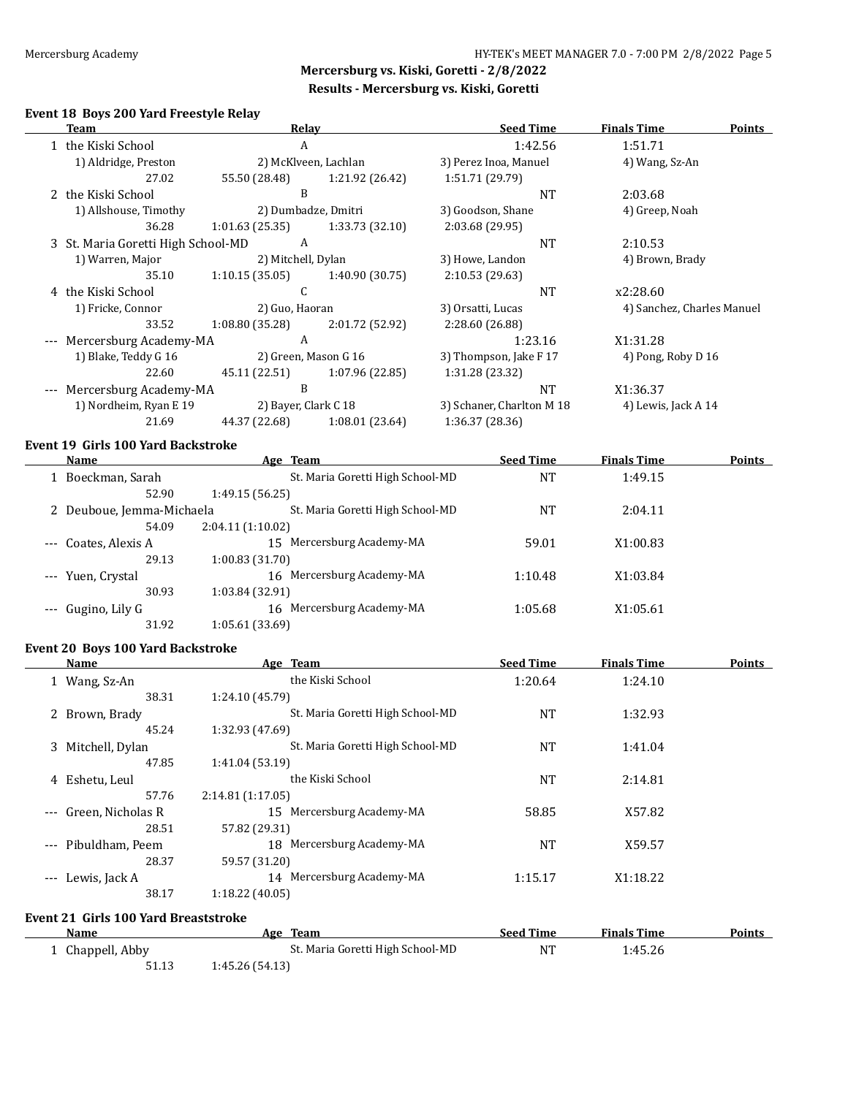$\overline{\phantom{0}}$ 

# **Mercersburg vs. Kiski, Goretti - 2/8/2022 Results - Mercersburg vs. Kiski, Goretti**

#### **Event 18 Boys 200 Yard Freestyle Relay**

|       | Team                               | Relay                |                 | <b>Seed Time</b>          | <b>Finals Time</b>         | <b>Points</b> |
|-------|------------------------------------|----------------------|-----------------|---------------------------|----------------------------|---------------|
|       | 1 the Kiski School                 | A                    |                 | 1:42.56                   | 1:51.71                    |               |
|       | 1) Aldridge, Preston               | 2) McKlveen, Lachlan |                 | 3) Perez Inoa, Manuel     | 4) Wang, Sz-An             |               |
|       | 27.02                              | 55.50 (28.48)        | 1:21.92 (26.42) | 1:51.71 (29.79)           |                            |               |
|       | 2 the Kiski School                 | B                    |                 | <b>NT</b>                 | 2:03.68                    |               |
|       | 1) Allshouse, Timothy              | 2) Dumbadze, Dmitri  |                 | 3) Goodson, Shane         | 4) Greep, Noah             |               |
|       | 36.28                              | 1:01.63(25.35)       | 1:33.73(32.10)  | 2:03.68 (29.95)           |                            |               |
|       | 3 St. Maria Goretti High School-MD | A                    |                 | <b>NT</b>                 | 2:10.53                    |               |
|       | 1) Warren, Major                   | 2) Mitchell, Dylan   |                 | 3) Howe, Landon           | 4) Brown, Brady            |               |
|       | 35.10                              | 1:10.15 (35.05)      | 1:40.90(30.75)  | 2:10.53(29.63)            |                            |               |
|       | 4 the Kiski School                 | C                    |                 | <b>NT</b>                 | x2:28.60                   |               |
|       | 1) Fricke, Connor                  | 2) Guo, Haoran       |                 | 3) Orsatti, Lucas         | 4) Sanchez, Charles Manuel |               |
|       | 33.52                              | 1:08.80(35.28)       | 2:01.72 (52.92) | 2:28.60 (26.88)           |                            |               |
| $---$ | Mercersburg Academy-MA             | A                    |                 | 1:23.16                   | X1:31.28                   |               |
|       | 1) Blake, Teddy G 16               | 2) Green, Mason G 16 |                 | 3) Thompson, Jake F 17    | 4) Pong, Roby D 16         |               |
|       | 22.60                              | 45.11 (22.51)        | 1:07.96(22.85)  | 1:31.28 (23.32)           |                            |               |
| $---$ | Mercersburg Academy-MA             | B                    |                 | <b>NT</b>                 | X1:36.37                   |               |
|       | 1) Nordheim, Ryan E 19             | 2) Bayer, Clark C 18 |                 | 3) Schaner, Charlton M 18 | 4) Lewis, Jack A 14        |               |
|       | 21.69                              | 44.37 (22.68)        | 1:08.01(23.64)  | 1:36.37 (28.36)           |                            |               |

### **Event 19 Girls 100 Yard Backstroke**

|          | Name                      | Age Team                         | <b>Seed Time</b> | <b>Finals Time</b> | <b>Points</b> |
|----------|---------------------------|----------------------------------|------------------|--------------------|---------------|
|          | Boeckman, Sarah           | St. Maria Goretti High School-MD | NT               | 1:49.15            |               |
|          | 52.90                     | 1:49.15 (56.25)                  |                  |                    |               |
|          | 2 Deuboue, Jemma-Michaela | St. Maria Goretti High School-MD | NT               | 2:04.11            |               |
|          | 54.09                     | 2:04.11(1:10.02)                 |                  |                    |               |
| $\cdots$ | Coates, Alexis A          | Mercersburg Academy-MA<br>15     | 59.01            | X1:00.83           |               |
|          | 29.13                     | 1:00.83(31.70)                   |                  |                    |               |
|          | --- Yuen, Crystal         | Mercersburg Academy-MA<br>16     | 1:10.48          | X1:03.84           |               |
|          | 30.93                     | 1:03.84 (32.91)                  |                  |                    |               |
|          | --- Gugino, Lily G        | Mercersburg Academy-MA<br>16     | 1:05.68          | X1:05.61           |               |
|          | 31.92                     | 1:05.61 (33.69)                  |                  |                    |               |

#### **Event 20 Boys 100 Yard Backstroke**

51.13 1:45.26 (54.13)

| Name                                        | Age Team                         | <b>Seed Time</b> | <b>Finals Time</b> | <b>Points</b> |
|---------------------------------------------|----------------------------------|------------------|--------------------|---------------|
| 1 Wang, Sz-An                               | the Kiski School                 | 1:20.64          | 1:24.10            |               |
| 38.31                                       | 1:24.10 (45.79)                  |                  |                    |               |
| 2 Brown, Brady                              | St. Maria Goretti High School-MD | <b>NT</b>        | 1:32.93            |               |
| 45.24                                       | 1:32.93 (47.69)                  |                  |                    |               |
| Mitchell, Dylan<br>3.                       | St. Maria Goretti High School-MD | <b>NT</b>        | 1:41.04            |               |
| 47.85                                       | 1:41.04 (53.19)                  |                  |                    |               |
| Eshetu, Leul<br>4                           | the Kiski School                 | <b>NT</b>        | 2:14.81            |               |
| 57.76                                       | 2:14.81(1:17.05)                 |                  |                    |               |
| Green, Nicholas R<br>$---$                  | 15 Mercersburg Academy-MA        | 58.85            | X57.82             |               |
| 28.51                                       | 57.82 (29.31)                    |                  |                    |               |
| Pibuldham, Peem<br>$\cdots$                 | 18 Mercersburg Academy-MA        | <b>NT</b>        | X59.57             |               |
| 28.37                                       | 59.57 (31.20)                    |                  |                    |               |
| Lewis, Jack A<br>$---$                      | 14 Mercersburg Academy-MA        | 1:15.17          | X1:18.22           |               |
| 38.17                                       | 1:18.22(40.05)                   |                  |                    |               |
| <b>Event 21 Girls 100 Yard Breaststroke</b> |                                  |                  |                    |               |
| <b>Name</b>                                 | Age Team                         | <b>Seed Time</b> | <b>Finals Time</b> | <b>Points</b> |
| 1 Chappell, Abby                            | St. Maria Goretti High School-MD | NT               | 1:45.26            |               |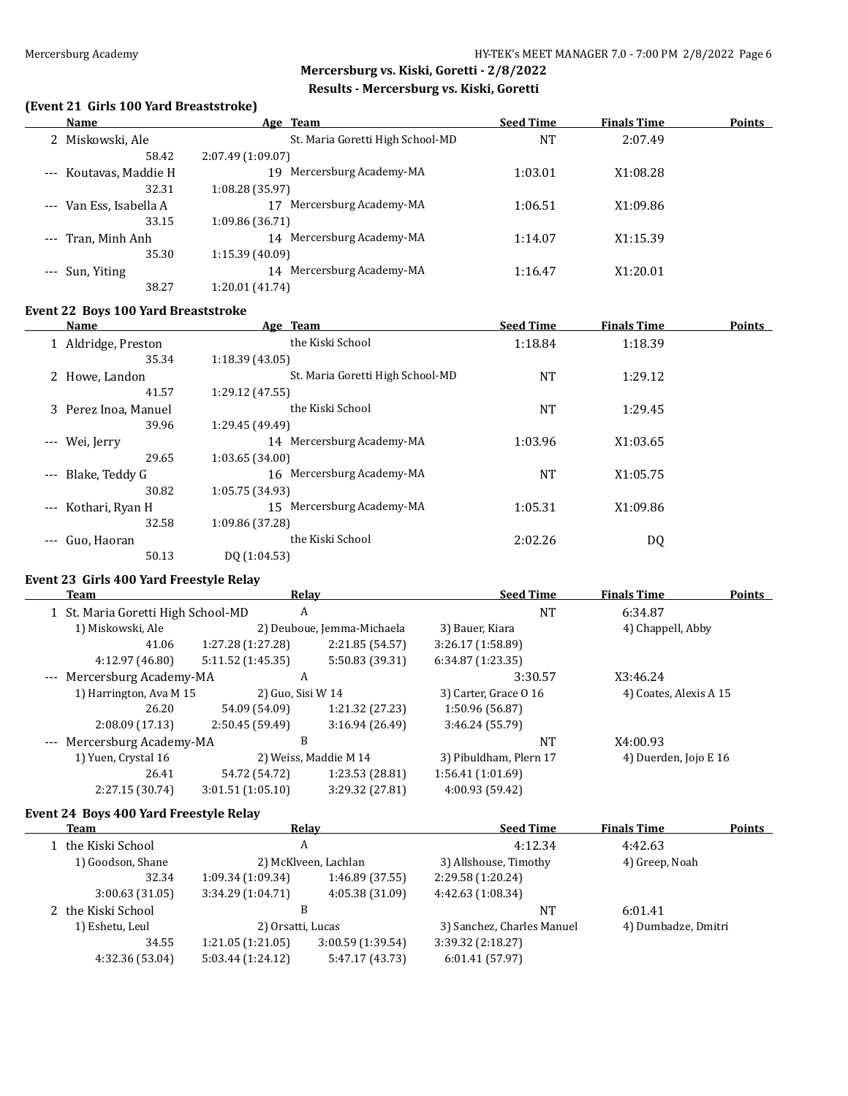$\overline{\phantom{0}}$ 

# **Mercersburg vs. Kiski, Goretti - 2/8/2022 Results - Mercersburg vs. Kiski, Goretti**

#### **(Event 21 Girls 100 Yard Breaststroke)**

| Name                         | Age Team                         | <b>Seed Time</b> | <b>Finals Time</b> | <b>Points</b> |
|------------------------------|----------------------------------|------------------|--------------------|---------------|
| 2 Miskowski, Ale             | St. Maria Goretti High School-MD | NT               | 2:07.49            |               |
| 58.42                        | 2:07.49(1:09.07)                 |                  |                    |               |
| Koutavas, Maddie H<br>$---$  | Mercersburg Academy-MA<br>19     | 1:03.01          | X1:08.28           |               |
| 32.31                        | 1:08.28 (35.97)                  |                  |                    |               |
| Van Ess, Isabella A<br>$---$ | Mercersburg Academy-MA           | 1:06.51          | X1:09.86           |               |
| 33.15                        | 1:09.86 (36.71)                  |                  |                    |               |
| --- Tran, Minh Anh           | Mercersburg Academy-MA<br>14     | 1:14.07          | X1:15.39           |               |
| 35.30                        | 1:15.39 (40.09)                  |                  |                    |               |
| Sun, Yiting                  | Mercersburg Academy-MA<br>14     | 1:16.47          | X1:20.01           |               |
| 38.27                        | 1:20.01 (41.74)                  |                  |                    |               |

#### **Event 22 Boys 100 Yard Breaststroke**

|                     | Name                 | Age Team                         | <b>Seed Time</b> | <b>Finals Time</b> | <b>Points</b> |
|---------------------|----------------------|----------------------------------|------------------|--------------------|---------------|
|                     | 1 Aldridge, Preston  | the Kiski School                 | 1:18.84          | 1:18.39            |               |
|                     | 35.34                | 1:18.39(43.05)                   |                  |                    |               |
|                     | 2 Howe, Landon       | St. Maria Goretti High School-MD | <b>NT</b>        | 1:29.12            |               |
|                     | 41.57                | 1:29.12(47.55)                   |                  |                    |               |
|                     | 3 Perez Inoa, Manuel | the Kiski School                 | <b>NT</b>        | 1:29.45            |               |
|                     | 39.96                | 1:29.45 (49.49)                  |                  |                    |               |
| $---$               | Wei, Jerry           | 14 Mercersburg Academy-MA        | 1:03.96          | X1:03.65           |               |
|                     | 29.65                | 1:03.65(34.00)                   |                  |                    |               |
| $\cdots$            | Blake, Teddy G       | 16 Mercersburg Academy-MA        | <b>NT</b>        | X1:05.75           |               |
|                     | 30.82                | 1:05.75 (34.93)                  |                  |                    |               |
| $\qquad \qquad - -$ | Kothari, Ryan H      | Mercersburg Academy-MA<br>15     | 1:05.31          | X1:09.86           |               |
|                     | 32.58                | 1:09.86 (37.28)                  |                  |                    |               |
| $\qquad \qquad - -$ | Guo, Haoran          | the Kiski School                 | 2:02.26          | DQ                 |               |
|                     | 50.13                | DO (1:04.53)                     |                  |                    |               |

#### **Event 23 Girls 400 Yard Freestyle Relay**

| Team                            |                                         | Relay             |                            | <b>Seed Time</b>       | <b>Finals Time</b>     | <b>Points</b> |
|---------------------------------|-----------------------------------------|-------------------|----------------------------|------------------------|------------------------|---------------|
|                                 | 1 St. Maria Goretti High School-MD<br>A |                   | <b>NT</b>                  | 6:34.87                |                        |               |
|                                 | 1) Miskowski, Ale                       |                   | 2) Deuboue, Jemma-Michaela | 3) Bauer, Kiara        | 4) Chappell, Abby      |               |
|                                 | 41.06                                   | 1:27.28 (1:27.28) | 2:21.85 (54.57)            | 3:26.17(1:58.89)       |                        |               |
|                                 | 4:12.97 (46.80)                         | 5:11.52(1:45.35)  | 5:50.83 (39.31)            | 6:34.87(1:23.35)       |                        |               |
|                                 | --- Mercersburg Academy-MA              | A                 |                            | 3:30.57                | X3:46.24               |               |
|                                 | 1) Harrington, Ava M 15                 | 2) Guo, Sisi W 14 |                            | 3) Carter, Grace 0 16  | 4) Coates, Alexis A 15 |               |
|                                 | 26.20                                   | 54.09 (54.09)     | 1:21.32 (27.23)            | 1:50.96 (56.87)        |                        |               |
|                                 | 2:08.09(17.13)                          | 2:50.45 (59.49)   | 3:16.94(26.49)             | 3:46.24 (55.79)        |                        |               |
| B<br>--- Mercersburg Academy-MA |                                         |                   |                            | <b>NT</b>              | X4:00.93               |               |
|                                 | 1) Yuen, Crystal 16                     |                   | 2) Weiss, Maddie M 14      | 3) Pibuldham, Plern 17 | 4) Duerden, Jojo E 16  |               |
|                                 | 26.41                                   | 54.72 (54.72)     | 1:23.53 (28.81)            | 1:56.41(1:01.69)       |                        |               |
|                                 | 2:27.15 (30.74)                         | 3:01.51(1:05.10)  | 3:29.32 (27.81)            | 4:00.93 (59.42)        |                        |               |
|                                 |                                         |                   |                            |                        |                        |               |

#### **Event 24 Boys 400 Yard Freestyle Relay**

| Team               | Relay                  |                   | <b>Seed Time</b>           | <b>Finals Time</b>  | <b>Points</b> |
|--------------------|------------------------|-------------------|----------------------------|---------------------|---------------|
| 1 the Kiski School | A                      |                   | 4:12.34                    | 4:42.63             |               |
| 1) Goodson, Shane  | 2) McKlveen, Lachlan   |                   | 3) Allshouse, Timothy      | 4) Greep, Noah      |               |
| 32.34              | 1:09.34(1:09.34)       | 1:46.89(37.55)    | 2:29.58 (1:20.24)          |                     |               |
| 3:00.63(31.05)     | 3:34.29(1:04.71)       | 4:05.38 (31.09)   | 4:42.63 (1:08.34)          |                     |               |
| 2 the Kiski School | B<br>2) Orsatti, Lucas |                   | NT                         | 6:01.41             |               |
| 1) Eshetu, Leul    |                        |                   | 3) Sanchez, Charles Manuel | 4) Dumbadze, Dmitri |               |
| 34.55              | 1:21.05(1:21.05)       | 3:00.59 (1:39.54) | 3:39.32 (2:18.27)          |                     |               |
| 4:32.36 (53.04)    | 5:03.44(1:24.12)       | 5:47.17 (43.73)   | 6:01.41(57.97)             |                     |               |
|                    |                        |                   |                            |                     |               |